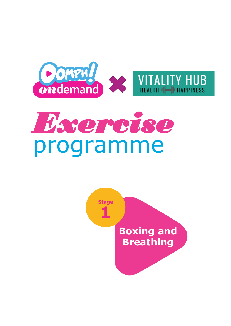

# *Exercise* programme

**Stage Stage Week 1 Boxing and Breathing**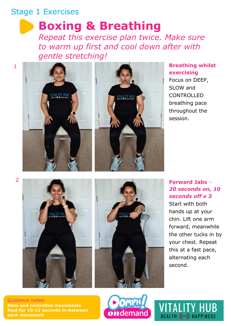## Stage 1 Exercises

1

## **Boxing & Breathing**

*Repeat this exercise plan twice. Make sure to warm up first and cool down after with gentle stretching!*



#### **Breathing whilst exercising**

Focus on DEEP, SLOW and CONTROLLED breathing pace throughout the session.

2





### **Forward Jabs** *– 20 seconds on, 10 seconds off x 3*

Start with both hands up at your chin. Lift one arm forward, meanwhile the other tucks in by your chest. Repeat this at a fast pace, alternating each second.

VITALITY HUB

HEALTH <a>
HEALTH <a>
HEALTH <a>
HEALTH <a>
HEALTH <a>
HEALTH <a>
HEALTH <a>
HEALTH <a>
HEALTH <a>
HEALTH <a>
HEALTH <a>
HEALTH <a>
HEALTH <a>
HEALTH <a>
HEALTH <a>
HEALTH <a>
HEALTH <a>
HEALTH <a>
HEALTH <a>
HEALTH <a>
HE

*Guidance notes:* **Slow and controlled movements Rest for 10-12 seconds in-between each movement**